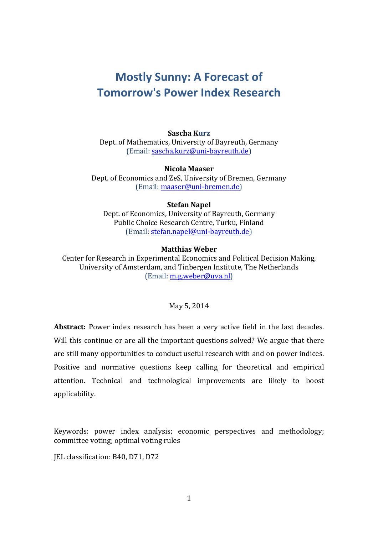# **Mostly Sunny: A Forecast of Tomorrow's Power Index Research**

## **Sascha Kurz**

Dept. of Mathematics, University of Bayreuth, Germany (Email: sascha.kurz@uni-bayreuth.de)

**Nicola Maaser** Dept. of Economics and ZeS, University of Bremen, Germany (Email: maaser@uni-bremen.de)

## **Stefan Napel**

Dept. of Economics, University of Bayreuth, Germany Public Choice Research Centre, Turku, Finland (Email: stefan.napel@uni-bayreuth.de)

## **Matthias Weber**

Center for Research in Experimental Economics and Political Decision Making, University of Amsterdam, and Tinbergen Institute, The Netherlands  $[Email: m.g.weber@uva.nl]$ 

## May 5, 2014

**Abstract:** Power index research has been a very active field in the last decades. Will this continue or are all the important questions solved? We argue that there are still many opportunities to conduct useful research with and on power indices. Positive and normative questions keep calling for theoretical and empirical attention. Technical and technological improvements are likely to boost applicability.

Keywords: power index analysis; economic perspectives and methodology; committee voting; optimal voting rules

IEL classification: B40, D71, D72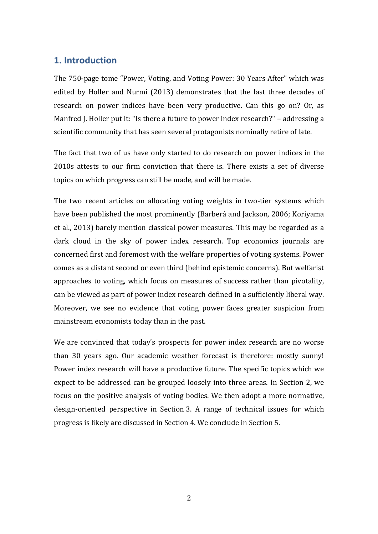# **1. Introduction**

The 750-page tome "Power, Voting, and Voting Power: 30 Years After" which was edited by Holler and Nurmi (2013) demonstrates that the last three decades of research on power indices have been very productive. Can this go on? Or, as Manfred J. Holler put it: "Is there a future to power index research?" – addressing a scientific community that has seen several protagonists nominally retire of late.

The fact that two of us have only started to do research on power indices in the  $2010s$  attests to our firm conviction that there is. There exists a set of diverse topics on which progress can still be made, and will be made.

The two recent articles on allocating voting weights in two-tier systems which have been published the most prominently (Barberá and Jackson, 2006; Koriyama et al., 2013) barely mention classical power measures. This may be regarded as a dark cloud in the sky of power index research. Top economics journals are concerned first and foremost with the welfare properties of voting systems. Power comes as a distant second or even third (behind epistemic concerns). But welfarist approaches to voting, which focus on measures of success rather than pivotality, can be viewed as part of power index research defined in a sufficiently liberal way. Moreover, we see no evidence that voting power faces greater suspicion from mainstream economists today than in the past.

We are convinced that today's prospects for power index research are no worse than 30 years ago. Our academic weather forecast is therefore: mostly sunny! Power index research will have a productive future. The specific topics which we expect to be addressed can be grouped loosely into three areas. In Section 2, we focus on the positive analysis of voting bodies. We then adopt a more normative, design-oriented perspective in Section 3. A range of technical issues for which progress is likely are discussed in Section 4. We conclude in Section 5.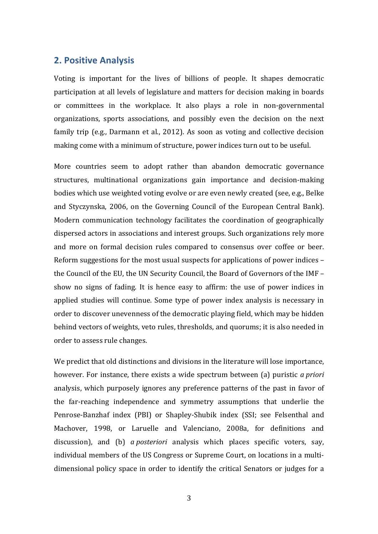## **2. Positive Analysis**

Voting is important for the lives of billions of people. It shapes democratic participation at all levels of legislature and matters for decision making in boards or committees in the workplace. It also plays a role in non-governmental organizations, sports associations, and possibly even the decision on the next family trip (e.g., Darmann et al., 2012). As soon as voting and collective decision making come with a minimum of structure, power indices turn out to be useful.

More countries seem to adopt rather than abandon democratic governance structures, multinational organizations gain importance and decision-making bodies which use weighted voting evolve or are even newly created (see, e.g., Belke and Styczynska, 2006, on the Governing Council of the European Central Bank). Modern communication technology facilitates the coordination of geographically dispersed actors in associations and interest groups. Such organizations rely more and more on formal decision rules compared to consensus over coffee or beer. Reform suggestions for the most usual suspects for applications of power indices  $$ the Council of the EU, the UN Security Council, the Board of Governors of the IMF show no signs of fading. It is hence easy to affirm: the use of power indices in applied studies will continue. Some type of power index analysis is necessary in order to discover unevenness of the democratic playing field, which may be hidden behind vectors of weights, veto rules, thresholds, and quorums; it is also needed in order to assess rule changes.

We predict that old distinctions and divisions in the literature will lose importance, however. For instance, there exists a wide spectrum between (a) puristic *a priori* analysis, which purposely ignores any preference patterns of the past in favor of the far-reaching independence and symmetry assumptions that underlie the Penrose-Banzhaf index (PBI) or Shapley-Shubik index (SSI; see Felsenthal and Machover, 1998, or Laruelle and Valenciano, 2008a, for definitions and discussion), and (b) *a posteriori* analysis which places specific voters, say, individual members of the US Congress or Supreme Court, on locations in a multidimensional policy space in order to identify the critical Senators or judges for a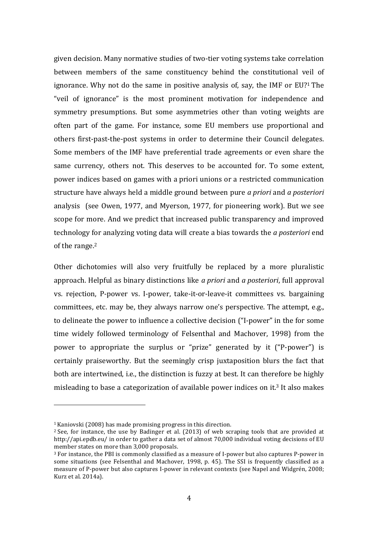given decision. Many normative studies of two-tier voting systems take correlation between members of the same constituency behind the constitutional veil of ignorance. Why not do the same in positive analysis of, say, the IMF or  $EU$ <sup>1</sup> The "veil of ignorance" is the most prominent motivation for independence and symmetry presumptions. But some asymmetries other than voting weights are often part of the game. For instance, some EU members use proportional and others first-past-the-post systems in order to determine their Council delegates. Some members of the IMF have preferential trade agreements or even share the same currency, others not. This deserves to be accounted for. To some extent, power indices based on games with a priori unions or a restricted communication structure have always held a middle ground between pure *a priori* and *a posteriori* analysis (see Owen, 1977, and Myerson, 1977, for pioneering work). But we see scope for more. And we predict that increased public transparency and improved technology for analyzing voting data will create a bias towards the *a posteriori* end of the range.<sup>2</sup>

Other dichotomies will also very fruitfully be replaced by a more pluralistic approach. Helpful as binary distinctions like *a priori* and *a posteriori*, full approval vs. rejection, P-power vs. I-power, take-it-or-leave-it committees vs. bargaining committees, etc. may be, they always narrow one's perspective. The attempt, e.g., to delineate the power to influence a collective decision ("I-power" in the for some time widely followed terminology of Felsenthal and Machover, 1998) from the power to appropriate the surplus or "prize" generated by it ("P-power") is certainly praiseworthy. But the seemingly crisp juxtaposition blurs the fact that both are intertwined, i.e., the distinction is fuzzy at best. It can therefore be highly misleading to base a categorization of available power indices on it.<sup>3</sup> It also makes

 

 $1$ Kaniovski (2008) has made promising progress in this direction.

 $2$  See, for instance, the use by Badinger et al. (2013) of web scraping tools that are provided at http://api.epdb.eu/ in order to gather a data set of almost 70,000 individual voting decisions of EU member states on more than 3,000 proposals.

 $3$  For instance, the PBI is commonly classified as a measure of I-power but also captures P-power in some situations (see Felsenthal and Machover, 1998, p. 45). The SSI is frequently classified as a measure of P-power but also captures I-power in relevant contexts (see Napel and Widgrén, 2008; Kurz et al. 2014a).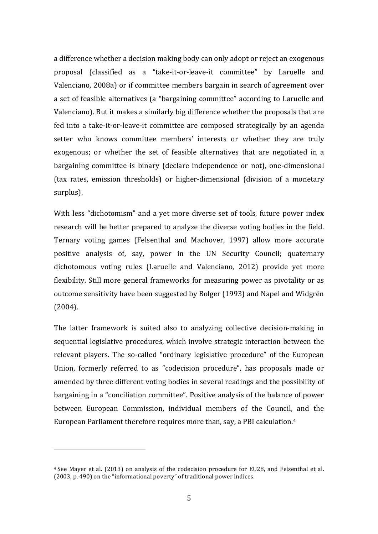a difference whether a decision making body can only adopt or reject an exogenous proposal (classified as a "take-it-or-leave-it committee" by Laruelle and Valenciano, 2008a) or if committee members bargain in search of agreement over a set of feasible alternatives (a "bargaining committee" according to Laruelle and Valenciano). But it makes a similarly big difference whether the proposals that are fed into a take-it-or-leave-it committee are composed strategically by an agenda setter who knows committee members' interests or whether they are truly exogenous; or whether the set of feasible alternatives that are negotiated in a bargaining committee is binary (declare independence or not), one-dimensional (tax rates, emission thresholds) or higher-dimensional (division of a monetary surplus). 

With less "dichotomism" and a yet more diverse set of tools, future power index research will be better prepared to analyze the diverse voting bodies in the field. Ternary voting games (Felsenthal and Machover, 1997) allow more accurate positive analysis of, say, power in the UN Security Council; quaternary dichotomous voting rules (Laruelle and Valenciano, 2012) provide yet more flexibility. Still more general frameworks for measuring power as pivotality or as outcome sensitivity have been suggested by Bolger (1993) and Napel and Widgrén (2004). 

The latter framework is suited also to analyzing collective decision-making in sequential legislative procedures, which involve strategic interaction between the relevant players. The so-called "ordinary legislative procedure" of the European Union, formerly referred to as "codecision procedure", has proposals made or amended by three different voting bodies in several readings and the possibility of bargaining in a "conciliation committee". Positive analysis of the balance of power between European Commission, individual members of the Council, and the European Parliament therefore requires more than, say, a PBI calculation.<sup>4</sup>

 

 $4$  See Mayer et al. (2013) on analysis of the codecision procedure for EU28, and Felsenthal et al.  $(2003, p. 490)$  on the "informational poverty" of traditional power indices.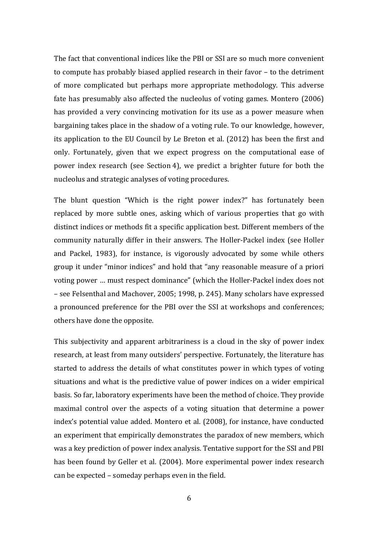The fact that conventional indices like the PBI or SSI are so much more convenient to compute has probably biased applied research in their favor – to the detriment of more complicated but perhaps more appropriate methodology. This adverse fate has presumably also affected the nucleolus of voting games. Montero  $(2006)$ has provided a very convincing motivation for its use as a power measure when bargaining takes place in the shadow of a voting rule. To our knowledge, however, its application to the EU Council by Le Breton et al. (2012) has been the first and only. Fortunately, given that we expect progress on the computational ease of power index research (see Section 4), we predict a brighter future for both the nucleolus and strategic analyses of voting procedures.

The blunt question "Which is the right power index?" has fortunately been replaced by more subtle ones, asking which of various properties that go with distinct indices or methods fit a specific application best. Different members of the community naturally differ in their answers. The Holler-Packel index (see Holler and Packel, 1983), for instance, is vigorously advocated by some while others group it under "minor indices" and hold that "any reasonable measure of a priori voting power ... must respect dominance" (which the Holler-Packel index does not – see Felsenthal and Machover, 2005; 1998, p. 245). Many scholars have expressed a pronounced preference for the PBI over the SSI at workshops and conferences; others have done the opposite.

This subjectivity and apparent arbitrariness is a cloud in the sky of power index research, at least from many outsiders' perspective. Fortunately, the literature has started to address the details of what constitutes power in which types of voting situations and what is the predictive value of power indices on a wider empirical basis. So far, laboratory experiments have been the method of choice. They provide maximal control over the aspects of a voting situation that determine a power index's potential value added. Montero et al. (2008), for instance, have conducted an experiment that empirically demonstrates the paradox of new members, which was a key prediction of power index analysis. Tentative support for the SSI and PBI has been found by Geller et al. (2004). More experimental power index research can be expected – someday perhaps even in the field.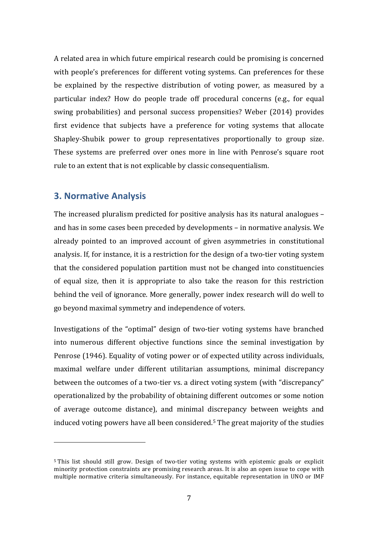A related area in which future empirical research could be promising is concerned with people's preferences for different voting systems. Can preferences for these be explained by the respective distribution of voting power, as measured by a particular index? How do people trade off procedural concerns (e.g., for equal swing probabilities) and personal success propensities? Weber (2014) provides first evidence that subjects have a preference for voting systems that allocate Shapley-Shubik power to group representatives proportionally to group size. These systems are preferred over ones more in line with Penrose's square root rule to an extent that is not explicable by classic consequentialism.

# **3. Normative Analysis**

 

The increased pluralism predicted for positive analysis has its natural analogues  $$ and has in some cases been preceded by developments – in normative analysis. We already pointed to an improved account of given asymmetries in constitutional analysis. If, for instance, it is a restriction for the design of a two-tier voting system that the considered population partition must not be changed into constituencies of equal size, then it is appropriate to also take the reason for this restriction behind the veil of ignorance. More generally, power index research will do well to go beyond maximal symmetry and independence of voters.

Investigations of the "optimal" design of two-tier voting systems have branched into numerous different objective functions since the seminal investigation by Penrose (1946). Equality of voting power or of expected utility across individuals, maximal welfare under different utilitarian assumptions, minimal discrepancy between the outcomes of a two-tier vs. a direct voting system (with "discrepancy" operationalized by the probability of obtaining different outcomes or some notion of average outcome distance), and minimal discrepancy between weights and induced voting powers have all been considered.<sup>5</sup> The great majority of the studies

<sup>&</sup>lt;sup>5</sup> This list should still grow. Design of two-tier voting systems with epistemic goals or explicit minority protection constraints are promising research areas. It is also an open issue to cope with multiple normative criteria simultaneously. For instance, equitable representation in UNO or IMF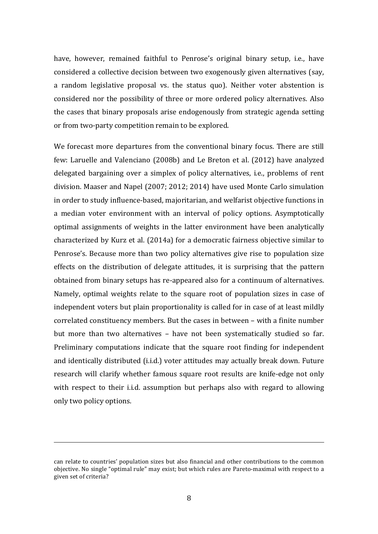have, however, remained faithful to Penrose's original binary setup, i.e., have considered a collective decision between two exogenously given alternatives (say, a random legislative proposal vs. the status quo). Neither voter abstention is considered nor the possibility of three or more ordered policy alternatives. Also the cases that binary proposals arise endogenously from strategic agenda setting or from two-party competition remain to be explored.

We forecast more departures from the conventional binary focus. There are still few: Laruelle and Valenciano (2008b) and Le Breton et al. (2012) have analyzed delegated bargaining over a simplex of policy alternatives, i.e., problems of rent division. Maaser and Napel (2007; 2012; 2014) have used Monte Carlo simulation in order to study influence-based, majoritarian, and welfarist objective functions in a median voter environment with an interval of policy options. Asymptotically optimal assignments of weights in the latter environment have been analytically characterized by Kurz et al. (2014a) for a democratic fairness objective similar to Penrose's. Because more than two policy alternatives give rise to population size effects on the distribution of delegate attitudes, it is surprising that the pattern obtained from binary setups has re-appeared also for a continuum of alternatives. Namely, optimal weights relate to the square root of population sizes in case of independent voters but plain proportionality is called for in case of at least mildly correlated constituency members. But the cases in between – with a finite number but more than two alternatives - have not been systematically studied so far. Preliminary computations indicate that the square root finding for independent and identically distributed (i.i.d.) voter attitudes may actually break down. Future research will clarify whether famous square root results are knife-edge not only with respect to their *i.i.d.* assumption but perhaps also with regard to allowing only two policy options.

<u> 1989 - Andrea Santa Andrea Andrea Andrea Andrea Andrea Andrea Andrea Andrea Andrea Andrea Andrea Andrea Andr</u>

can relate to countries' population sizes but also financial and other contributions to the common objective. No single "optimal rule" may exist; but which rules are Pareto-maximal with respect to a given set of criteria?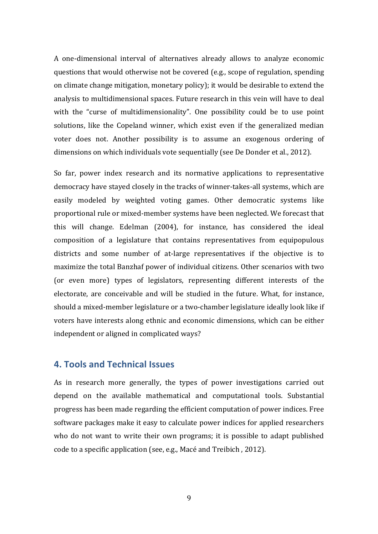A one-dimensional interval of alternatives already allows to analyze economic questions that would otherwise not be covered (e.g., scope of regulation, spending on climate change mitigation, monetary policy); it would be desirable to extend the analysis to multidimensional spaces. Future research in this vein will have to deal with the "curse of multidimensionality". One possibility could be to use point solutions, like the Copeland winner, which exist even if the generalized median voter does not. Another possibility is to assume an exogenous ordering of dimensions on which individuals vote sequentially (see De Donder et al., 2012).

So far, power index research and its normative applications to representative democracy have stayed closely in the tracks of winner-takes-all systems, which are easily modeled by weighted voting games. Other democratic systems like proportional rule or mixed-member systems have been neglected. We forecast that this will change. Edelman (2004), for instance, has considered the ideal composition of a legislature that contains representatives from equipopulous districts and some number of at-large representatives if the objective is to maximize the total Banzhaf power of individual citizens. Other scenarios with two (or even more) types of legislators, representing different interests of the electorate, are conceivable and will be studied in the future. What, for instance, should a mixed-member legislature or a two-chamber legislature ideally look like if voters have interests along ethnic and economic dimensions, which can be either independent or aligned in complicated ways?

# **4. Tools and Technical Issues**

As in research more generally, the types of power investigations carried out depend on the available mathematical and computational tools. Substantial progress has been made regarding the efficient computation of power indices. Free software packages make it easy to calculate power indices for applied researchers who do not want to write their own programs; it is possible to adapt published code to a specific application (see, e.g., Macé and Treibich, 2012).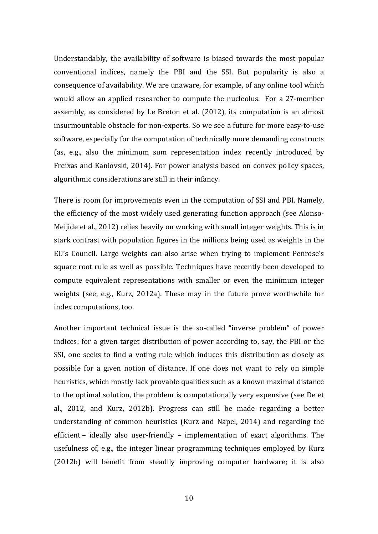Understandably, the availability of software is biased towards the most popular conventional indices, namely the PBI and the SSI. But popularity is also a consequence of availability. We are unaware, for example, of any online tool which would allow an applied researcher to compute the nucleolus. For a 27-member assembly, as considered by Le Breton et al. (2012), its computation is an almost insurmountable obstacle for non-experts. So we see a future for more easy-to-use software, especially for the computation of technically more demanding constructs (as, e.g., also the minimum sum representation index recently introduced by Freixas and Kaniovski, 2014). For power analysis based on convex policy spaces, algorithmic considerations are still in their infancy.

There is room for improvements even in the computation of SSI and PBI. Namely, the efficiency of the most widely used generating function approach (see Alonso-Meijide et al., 2012) relies heavily on working with small integer weights. This is in stark contrast with population figures in the millions being used as weights in the EU's Council. Large weights can also arise when trying to implement Penrose's square root rule as well as possible. Techniques have recently been developed to compute equivalent representations with smaller or even the minimum integer weights (see, e.g., Kurz, 2012a). These may in the future prove worthwhile for index computations, too.

Another important technical issue is the so-called "inverse problem" of power indices: for a given target distribution of power according to, say, the PBI or the SSI, one seeks to find a voting rule which induces this distribution as closely as possible for a given notion of distance. If one does not want to rely on simple heuristics, which mostly lack provable qualities such as a known maximal distance to the optimal solution, the problem is computationally very expensive (see De et al., 2012, and Kurz, 2012b). Progress can still be made regarding a better understanding of common heuristics (Kurz and Napel, 2014) and regarding the efficient – ideally also user-friendly – implementation of exact algorithms. The usefulness of, e.g., the integer linear programming techniques employed by Kurz (2012b) will benefit from steadily improving computer hardware; it is also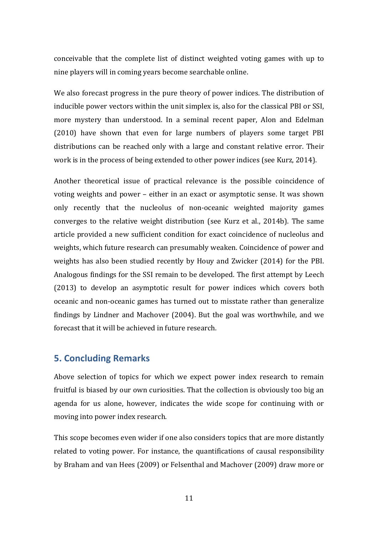conceivable that the complete list of distinct weighted voting games with up to nine players will in coming years become searchable online.

We also forecast progress in the pure theory of power indices. The distribution of inducible power vectors within the unit simplex is, also for the classical PBI or SSI, more mystery than understood. In a seminal recent paper, Alon and Edelman (2010) have shown that even for large numbers of players some target PBI distributions can be reached only with a large and constant relative error. Their work is in the process of being extended to other power indices (see Kurz, 2014).

Another theoretical issue of practical relevance is the possible coincidence of voting weights and power – either in an exact or asymptotic sense. It was shown only recently that the nucleolus of non-oceanic weighted majority games converges to the relative weight distribution (see Kurz et al., 2014b). The same article provided a new sufficient condition for exact coincidence of nucleolus and weights, which future research can presumably weaken. Coincidence of power and weights has also been studied recently by Houy and Zwicker (2014) for the PBI. Analogous findings for the SSI remain to be developed. The first attempt by Leech (2013) to develop an asymptotic result for power indices which covers both oceanic and non-oceanic games has turned out to misstate rather than generalize findings by Lindner and Machover (2004). But the goal was worthwhile, and we forecast that it will be achieved in future research.

# **5. Concluding Remarks**

Above selection of topics for which we expect power index research to remain fruitful is biased by our own curiosities. That the collection is obviously too big an agenda for us alone, however, indicates the wide scope for continuing with or moving into power index research.

This scope becomes even wider if one also considers topics that are more distantly related to voting power. For instance, the quantifications of causal responsibility by Braham and van Hees (2009) or Felsenthal and Machover (2009) draw more or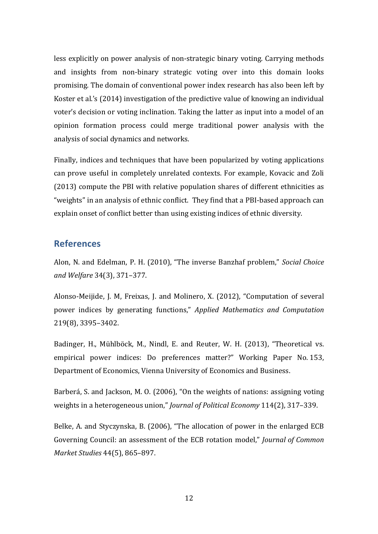less explicitly on power analysis of non-strategic binary voting. Carrying methods and insights from non-binary strategic voting over into this domain looks promising. The domain of conventional power index research has also been left by Koster et al.'s (2014) investigation of the predictive value of knowing an individual voter's decision or voting inclination. Taking the latter as input into a model of an opinion formation process could merge traditional power analysis with the analysis of social dynamics and networks.

Finally, indices and techniques that have been popularized by voting applications can prove useful in completely unrelated contexts. For example, Kovacic and Zoli  $(2013)$  compute the PBI with relative population shares of different ethnicities as "weights" in an analysis of ethnic conflict. They find that a PBI-based approach can explain onset of conflict better than using existing indices of ethnic diversity.

## **References**

Alon, N. and Edelman, P. H. (2010), "The inverse Banzhaf problem," *Social Choice and Welfare* 34(3), 371–377.

Alonso-Meijide, J. M, Freixas, J. and Molinero, X. (2012), "Computation of several power indices by generating functions," *Applied Mathematics and Computation* 219(8), 3395–3402.

Badinger, H., Mühlböck, M., Nindl, E. and Reuter, W. H. (2013), "Theoretical vs. empirical power indices: Do preferences matter?" Working Paper No. 153, Department of Economics, Vienna University of Economics and Business.

Barberá, S. and Jackson, M. O. (2006), "On the weights of nations: assigning voting weights in a heterogeneous union," *Journal of Political Economy* 114(2), 317-339.

Belke, A. and Styczynska, B. (2006), "The allocation of power in the enlarged ECB Governing Council: an assessment of the ECB rotation model," *Journal of Common Market Studies* 44(5), 865–897.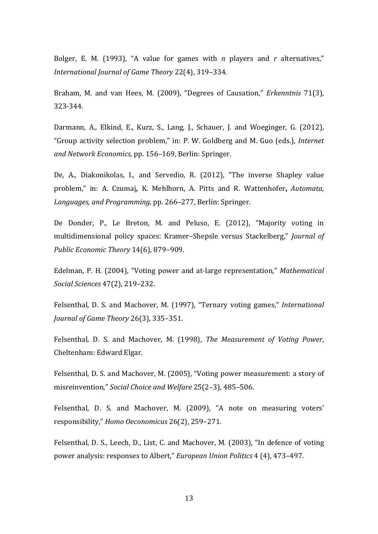Bolger, E. M. (1993), "A value for games with  $n$  players and  $r$  alternatives," *International Journal of Game Theory* 22(4), 319–334.

Braham, M. and van Hees, M. (2009), "Degrees of Causation," *Erkenntnis* 71(3), 323-344.

Darmann, A., Elkind, E., Kurz, S., Lang, J., Schauer, J. and Woeginger, G. (2012), "Group activity selection problem," in: P. W. Goldberg and M. Guo (eds.), *Internet* and Network *Economics*, pp. 156–169, Berlin: Springer.

De, A., Diakonikolas, I., and Servedio, R. (2012), "The inverse Shapley value problem," in: A. Czumaj, K. Mehlhorn, A. Pitts and R. Wattenhofer, Automata, Languages, and Programming, pp. 266–277, Berlin: Springer.

De Donder, P., Le Breton, M. and Peluso, E. (2012), "Majority voting in multidimensional policy spaces: Kramer–Shepsle versus Stackelberg," *Journal of Public Economic Theory* 14(6), 879–909.

Edelman, P. H. (2004), "Voting power and at-large representation," *Mathematical Social Sciences* 47(2), 219–232.

Felsenthal, D. S. and Machover, M. (1997), "Ternary voting games," *International Journal of Game Theory* 26(3), 335–351.

Felsenthal, D. S. and Machover, M. (1998), *The Measurement of Voting Power*, Cheltenham: Edward Elgar.

Felsenthal, D. S. and Machover, M. (2005), "Voting power measurement: a story of misreinvention," *Social Choice and Welfare* 25(2–3), 485–506.

Felsenthal, D. S. and Machover, M. (2009), "A note on measuring voters' responsibility," *Homo Oeconomicus* 26(2), 259–271.

Felsenthal, D. S., Leech, D., List, C. and Machover, M. (2003), "In defence of voting power analysis: responses to Albert," *European Union Politics* 4 (4), 473–497.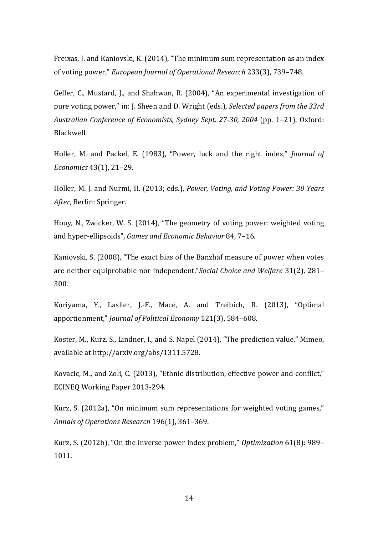Freixas, J. and Kaniovski, K. (2014), "The minimum sum representation as an index of voting power," *European Journal of Operational Research* 233(3), 739–748.

Geller, C., Mustard, J., and Shahwan, R. (2004), "An experimental investigation of pure voting power," in: J. Sheen and D. Wright (eds.), *Selected papers from the 33rd Australian Conference of Economists, Sydney Sept. 27-30, 2004* (pp. 1–21), Oxford: Blackwell.

Holler, M. and Packel, E. (1983), "Power, luck and the right index," *Journal of Economics* 43(1), 21–29.

Holler, M. J. and Nurmi, H. (2013; eds.), *Power, Voting, and Voting Power: 30 Years After*, Berlin: Springer.

Houy, N., Zwicker, W. S. (2014), "The geometry of voting power: weighted voting and hyper-ellipsoids", *Games and Economic Behavior* 84, 7-16.

Kaniovski, S. (2008), "The exact bias of the Banzhaf measure of power when votes are neither equiprobable nor independent,"*Social Choice and Welfare* 31(2), 281– 300.

Koriyama, Y., Laslier, J.-F., Macé, A. and Treibich, R. (2013), "Optimal apportionment," *Journal of Political Economy* 121(3), 584–608.

Koster, M., Kurz, S., Lindner, I., and S. Napel (2014), "The prediction value." Mimeo, available at http://arxiv.org/abs/1311.5728.

Kovacic, M., and Zoli, C. (2013), "Ethnic distribution, effective power and conflict," ECINEO Working Paper 2013-294.

Kurz, S. (2012a), "On minimum sum representations for weighted voting games," *Annals of Operations Research* 196(1), 361–369.

Kurz, S. (2012b), "On the inverse power index problem," Optimization 61(8): 989– 1011.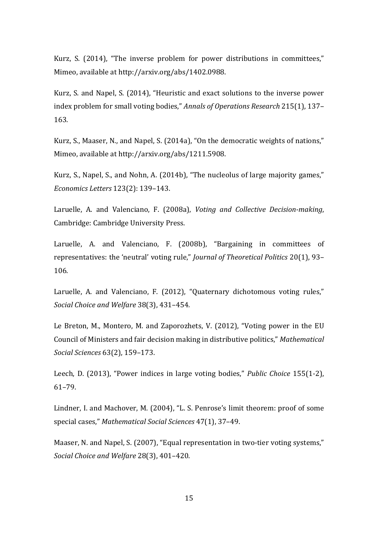Kurz, S. (2014), "The inverse problem for power distributions in committees," Mimeo, available at http://arxiv.org/abs/1402.0988.

Kurz, S. and Napel, S. (2014), "Heuristic and exact solutions to the inverse power index problem for small voting bodies," *Annals of Operations Research* 215(1), 137– 163.

Kurz, S., Maaser, N., and Napel, S. (2014a), "On the democratic weights of nations," Mimeo, available at http://arxiv.org/abs/1211.5908.

Kurz, S., Napel, S., and Nohn, A. (2014b), "The nucleolus of large majority games," *Economics Letters* 123(2): 139–143.

Laruelle, A. and Valenciano, F. (2008a), *Voting and Collective Decision-making*, Cambridge: Cambridge University Press.

Laruelle, A. and Valenciano, F. (2008b), "Bargaining in committees of representatives: the 'neutral' voting rule," *Journal of Theoretical Politics* 20(1), 93– 106.

Laruelle, A. and Valenciano, F. (2012), "Quaternary dichotomous voting rules," *Social Choice and Welfare* 38(3), 431–454.

Le Breton, M., Montero, M. and Zaporozhets, V. (2012), "Voting power in the EU Council of Ministers and fair decision making in distributive politics," Mathematical *Social Sciences* 63(2), 159–173.

Leech, D. (2013), "Power indices in large voting bodies," *Public Choice* 155(1-2), 61–79.

Lindner, I. and Machover, M. (2004), "L. S. Penrose's limit theorem: proof of some special cases," Mathematical Social Sciences 47(1), 37-49.

Maaser, N. and Napel, S. (2007), "Equal representation in two-tier voting systems," *Social Choice and Welfare* 28(3), 401–420.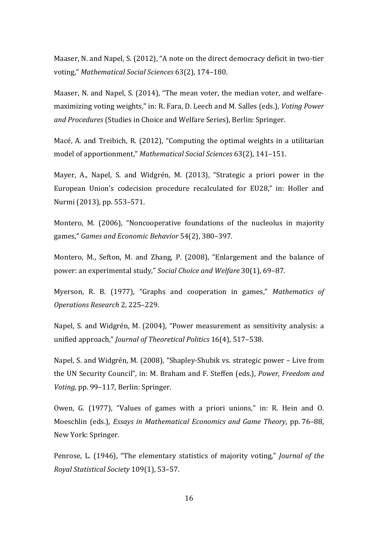Maaser, N. and Napel, S. (2012), "A note on the direct democracy deficit in two-tier voting," *Mathematical Social Sciences* 63(2), 174–180.

Maaser, N. and Napel, S. (2014), "The mean voter, the median voter, and welfaremaximizing voting weights," in: R. Fara, D. Leech and M. Salles (eds.), *Voting Power* and Procedures (Studies in Choice and Welfare Series), Berlin: Springer.

Macé, A. and Treibich, R. (2012), "Computing the optimal weights in a utilitarian model of apportionment," Mathematical Social Sciences 63(2), 141-151.

Mayer, A., Napel, S. and Widgrén, M. (2013), "Strategic a priori power in the European Union's codecision procedure recalculated for EU28," in: Holler and Nurmi (2013), pp. 553-571.

Montero, M. (2006), "Noncooperative foundations of the nucleolus in majority games," Games and Economic Behavior 54(2), 380-397.

Montero, M., Sefton, M. and Zhang, P. (2008), "Enlargement and the balance of power: an experimental study," *Social Choice and Welfare* 30(1), 69–87.

Myerson, R. B. (1977), "Graphs and cooperation in games," *Mathematics of Operations Research* 2, 225–229.

Napel, S. and Widgrén, M. (2004), "Power measurement as sensitivity analysis: a unified approach," *Journal of Theoretical Politics* 16(4), 517–538*.*

Napel, S. and Widgrén, M. (2008), "Shapley-Shubik vs. strategic power – Live from the UN Security Council", in: M. Braham and F. Steffen (eds.), *Power, Freedom and Voting*, pp. 99–117, Berlin: Springer.

Owen, G. (1977), "Values of games with a priori unions," in: R. Hein and O. Moeschlin (eds.), *Essays in Mathematical Economics and Game Theory*, pp. 76–88, New York: Springer.

Penrose, L. (1946), "The elementary statistics of majority voting," *Journal of the Royal Statistical Society* 109(1), 53–57.